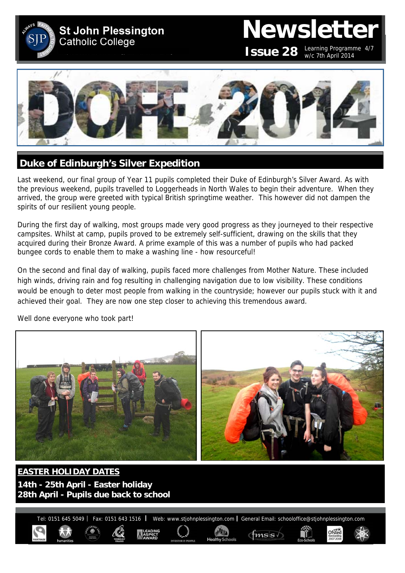

## **Newsletter**

**ISSUE 28** Learning Programme 4/7 w/c 7th April 2014

Ofsted



#### **Duke of Edinburgh's Silver Expedition**

Last weekend, our final group of Year 11 pupils completed their Duke of Edinburgh's Silver Award. As with the previous weekend, pupils travelled to Loggerheads in North Wales to begin their adventure. When they arrived, the group were greeted with typical British springtime weather. This however did not dampen the spirits of our resilient young people.

During the first day of walking, most groups made very good progress as they journeyed to their respective campsites. Whilst at camp, pupils proved to be extremely self-sufficient, drawing on the skills that they acquired during their Bronze Award. A prime example of this was a number of pupils who had packed bungee cords to enable them to make a washing line - how resourceful!

On the second and final day of walking, pupils faced more challenges from Mother Nature. These included high winds, driving rain and fog resulting in challenging navigation due to low visibility. These conditions would be enough to deter most people from walking in the countryside; however our pupils stuck with it and achieved their goal. They are now one step closer to achieving this tremendous award.



Well done everyone who took part!

**EASTER HOLIDAY DATES 14th - 25th April - Easter holiday 28th April - Pupils due back to school** 

Tel: 0151 645 5049 | Fax: 0151 643 1516 | Web: www.stjohnplessington.com | General Email: schooloffice@stjohnplessington.com

 $f$ <sub>ms</sub> $\frac{1}{s}$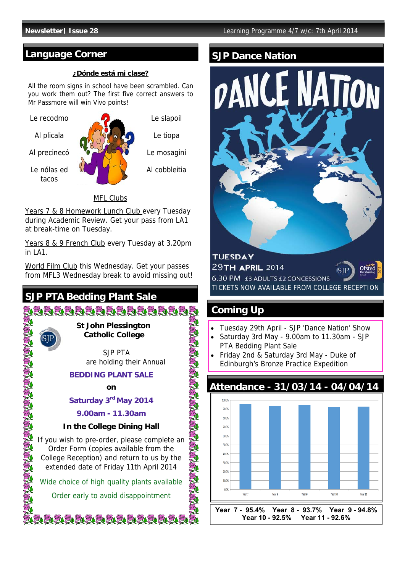#### **Language Corner**

#### **¿Dónde está mi clase?**

All the room signs in school have been scrambled. Can you work them out? The first five correct answers to Mr Passmore will win Vivo points!



Le slapoil

Le tiopa

Le mosagini

Al cobbleitia

#### MFL Clubs

Years 7 & 8 Homework Lunch Club every Tuesday during Academic Review. Get your pass from LA1 at break-time on Tuesday.

Years 8 & 9 French Club every Tuesday at 3.20pm  $in I A1$ .

World Film Club this Wednesday. Get your passes from MFL3 Wednesday break to avoid missing out!

#### **SJP PTA Bedding Plant Sale**



 SJP PTA are holding their Annual

#### **BEDDING PLANT SALE**

**on** 

**WARRANGHANGHA** 

#### Saturday 3<sup>rd</sup> May 2014

#### **9.00am - 11.30am**

#### **In the College Dining Hall**

If you wish to pre-order, please complete an Order Form (copies available from the College Reception) and return to us by the extended date of Friday 11th April 2014

Wide choice of high quality plants available

Order early to avoid disappointment

ie eie eie eie eie eie eie i

#### **SJP Dance Nation**



**Year 7 - 95.4% Year 8 - 93.7% Year 9 - 94.8% Year 10 - 92.5% Year 11 - 92.6%**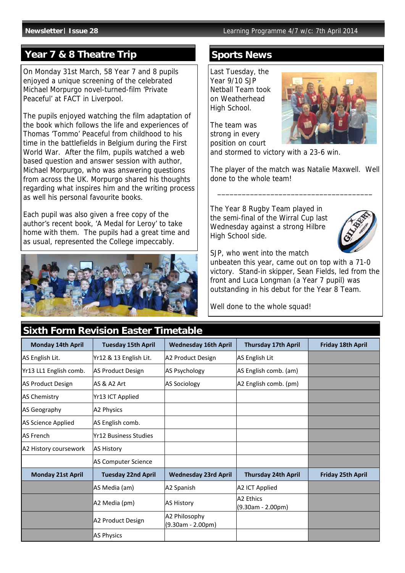#### **Year 7 & 8 Theatre Trip**

On Monday 31st March, 58 Year 7 and 8 pupils enjoyed a unique screening of the celebrated Michael Morpurgo novel-turned-film 'Private Peaceful' at FACT in Liverpool.

The pupils enjoyed watching the film adaptation of the book which follows the life and experiences of Thomas 'Tommo' Peaceful from childhood to his time in the battlefields in Belgium during the First World War. After the film, pupils watched a web based question and answer session with author, Michael Morpurgo, who was answering questions from across the UK. Morpurgo shared his thoughts regarding what inspires him and the writing process as well his personal favourite books.

Each pupil was also given a free copy of the author's recent book, 'A Medal for Leroy' to take home with them. The pupils had a great time and as usual, represented the College impeccably.



#### **Sixth Form Revision Easter Timetable**

#### **Sports News**

Last Tuesday, the Year 9/10 SJP Netball Team took on Weatherhead High School.

The team was strong in every position on court



and stormed to victory with a 23-6 win.

The player of the match was Natalie Maxwell. Well done to the whole team!

\_\_\_\_\_\_\_\_\_\_\_\_\_\_\_\_\_\_\_\_\_\_\_\_\_\_\_\_\_\_\_\_\_\_\_\_\_\_

The Year 8 Rugby Team played in the semi-final of the Wirral Cup last Wednesday against a strong Hilbre High School side.



SJP, who went into the match

unbeaten this year, came out on top with a 71-0 victory. Stand-in skipper, Sean Fields, led from the front and Luca Longman (a Year 7 pupil) was outstanding in his debut for the Year 8 Team.

Well done to the whole squad!

| Sixth Form Revision Easter Timetable |                              |                                      |                                  |                          |  |  |  |  |
|--------------------------------------|------------------------------|--------------------------------------|----------------------------------|--------------------------|--|--|--|--|
| <b>Monday 14th April</b>             | <b>Tuesday 15th April</b>    | <b>Wednesday 16th April</b>          | <b>Thursday 17th April</b>       | Friday 18th April        |  |  |  |  |
| AS English Lit.                      | Yr12 & 13 English Lit.       | A2 Product Design                    | AS English Lit                   |                          |  |  |  |  |
| Yr13 LL1 English comb.               | AS Product Design            | <b>AS Psychology</b>                 | AS English comb. (am)            |                          |  |  |  |  |
| <b>AS Product Design</b>             | AS & A2 Art                  | <b>AS Sociology</b>                  | A2 English comb. (pm)            |                          |  |  |  |  |
| <b>AS Chemistry</b>                  | Yr13 ICT Applied             |                                      |                                  |                          |  |  |  |  |
| AS Geography                         | A2 Physics                   |                                      |                                  |                          |  |  |  |  |
| AS Science Applied                   | AS English comb.             |                                      |                                  |                          |  |  |  |  |
| <b>AS French</b>                     | <b>Yr12 Business Studies</b> |                                      |                                  |                          |  |  |  |  |
| A2 History coursework                | <b>AS History</b>            |                                      |                                  |                          |  |  |  |  |
|                                      | <b>AS Computer Science</b>   |                                      |                                  |                          |  |  |  |  |
| <b>Monday 21st April</b>             | <b>Tuesday 22nd April</b>    | <b>Wednesday 23rd April</b>          | <b>Thursday 24th April</b>       | <b>Friday 25th April</b> |  |  |  |  |
|                                      | AS Media (am)                | A2 Spanish                           | A2 ICT Applied                   |                          |  |  |  |  |
|                                      | A2 Media (pm)                | <b>AS History</b>                    | A2 Ethics<br>$(9.30am - 2.00pm)$ |                          |  |  |  |  |
|                                      | A2 Product Design            | A2 Philosophy<br>$(9.30am - 2.00pm)$ |                                  |                          |  |  |  |  |
|                                      | <b>AS Physics</b>            |                                      |                                  |                          |  |  |  |  |